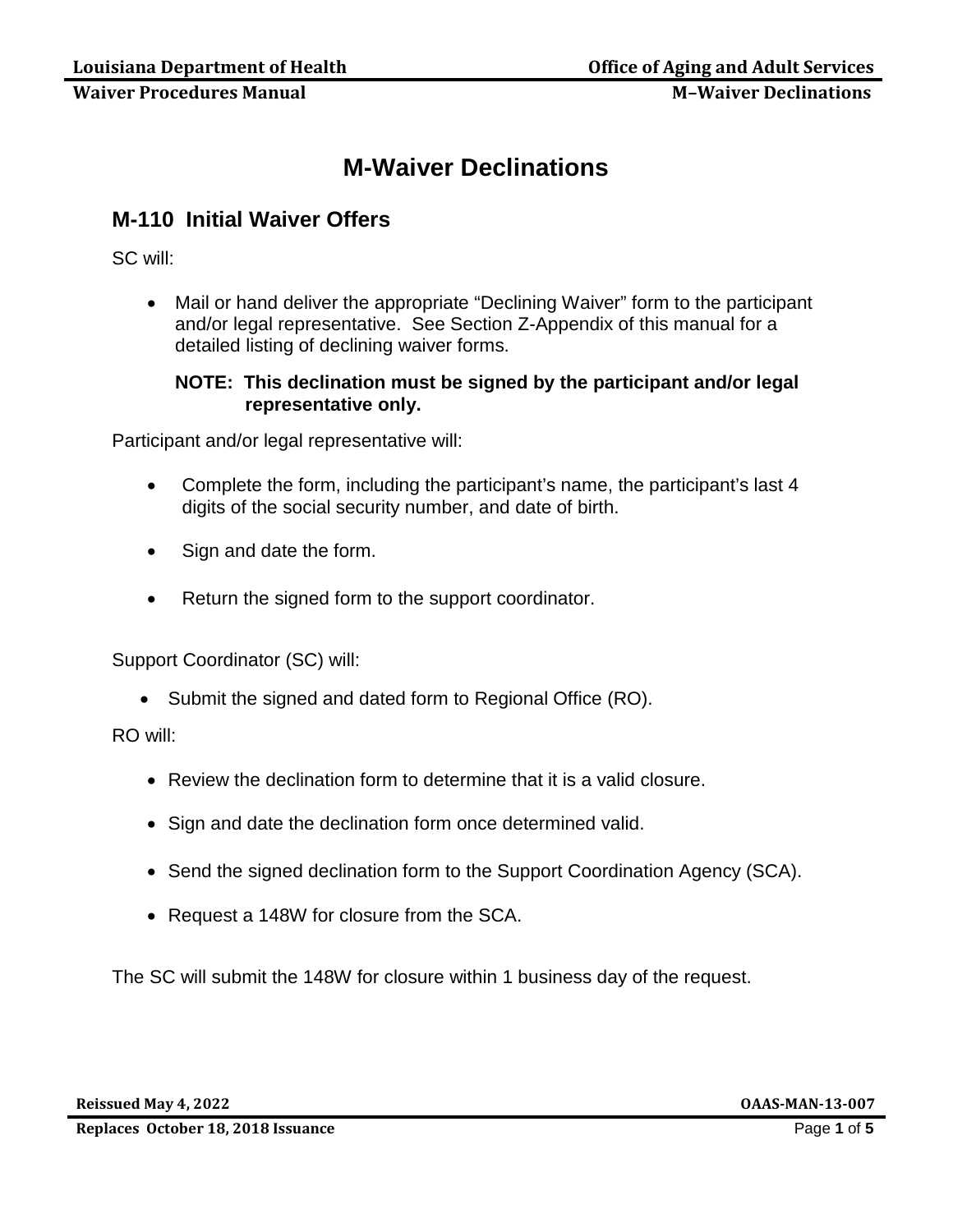# **M-Waiver Declinations**

# **M-110 Initial Waiver Offers**

SC will:

• Mail or hand deliver the appropriate "Declining Waiver" form to the participant and/or legal representative. See Section Z-Appendix of this manual for a detailed listing of declining waiver forms.

## **NOTE: This declination must be signed by the participant and/or legal representative only.**

Participant and/or legal representative will:

- Complete the form, including the participant's name, the participant's last 4 digits of the social security number, and date of birth.
- Sign and date the form.
- Return the signed form to the support coordinator.

Support Coordinator (SC) will:

• Submit the signed and dated form to Regional Office (RO).

### RO will:

- Review the declination form to determine that it is a valid closure.
- Sign and date the declination form once determined valid.
- Send the signed declination form to the Support Coordination Agency (SCA).
- Request a 148W for closure from the SCA.

The SC will submit the 148W for closure within 1 business day of the request.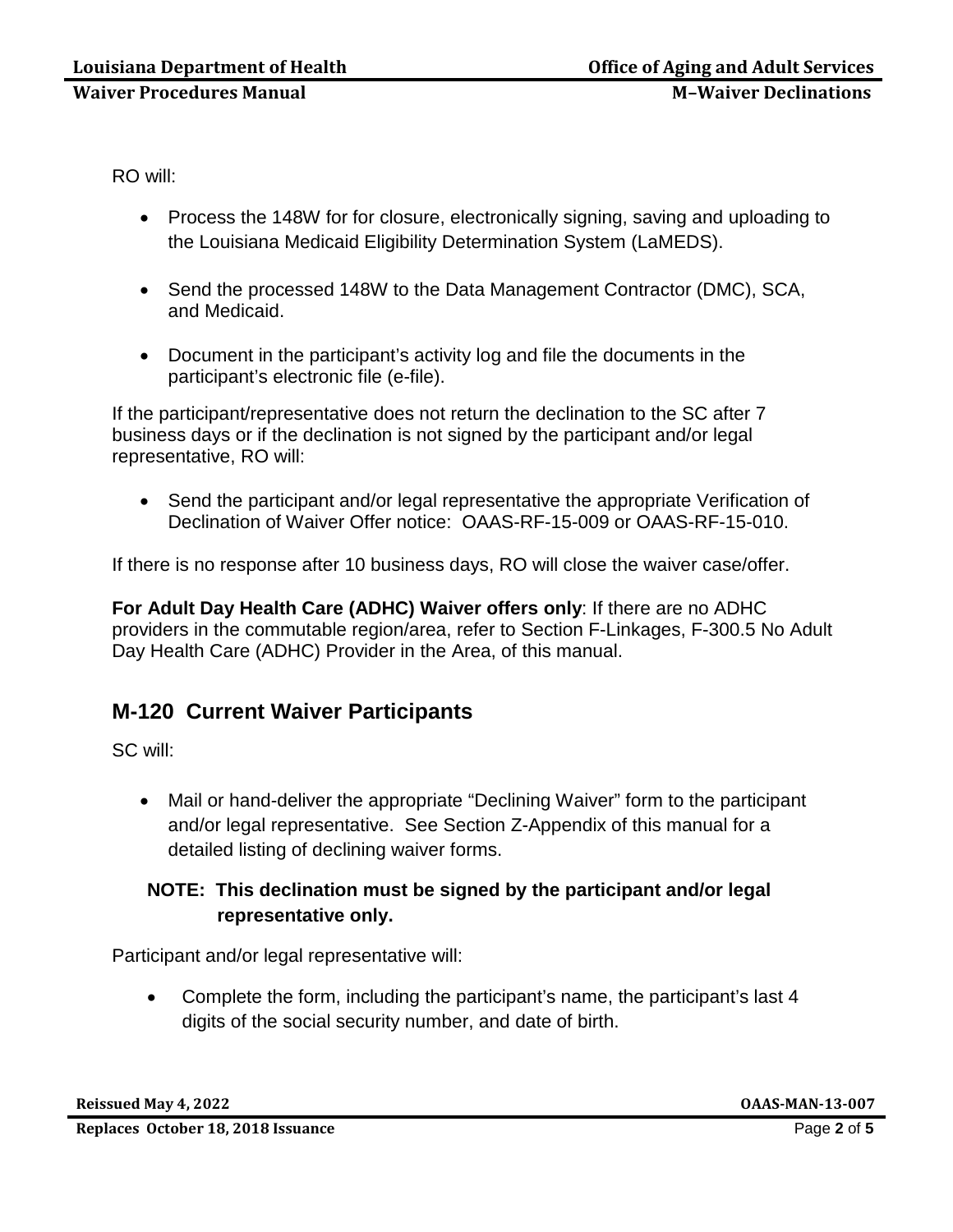RO will:

- Process the 148W for for closure, electronically signing, saving and uploading to the Louisiana Medicaid Eligibility Determination System (LaMEDS).
- Send the processed 148W to the Data Management Contractor (DMC), SCA, and Medicaid.
- Document in the participant's activity log and file the documents in the participant's electronic file (e-file).

If the participant/representative does not return the declination to the SC after 7 business days or if the declination is not signed by the participant and/or legal representative, RO will:

• Send the participant and/or legal representative the appropriate Verification of Declination of Waiver Offer notice: OAAS-RF-15-009 or OAAS-RF-15-010.

If there is no response after 10 business days, RO will close the waiver case/offer.

**For Adult Day Health Care (ADHC) Waiver offers only**: If there are no ADHC providers in the commutable region/area, refer to Section F-Linkages, F-300.5 No Adult Day Health Care (ADHC) Provider in the Area, of this manual.

# **M-120 Current Waiver Participants**

SC will:

• Mail or hand-deliver the appropriate "Declining Waiver" form to the participant and/or legal representative. See Section Z-Appendix of this manual for a detailed listing of declining waiver forms.

## **NOTE: This declination must be signed by the participant and/or legal representative only.**

Participant and/or legal representative will:

• Complete the form, including the participant's name, the participant's last 4 digits of the social security number, and date of birth.

**Reissued May 4, 2022 OAAS-MAN-13-007**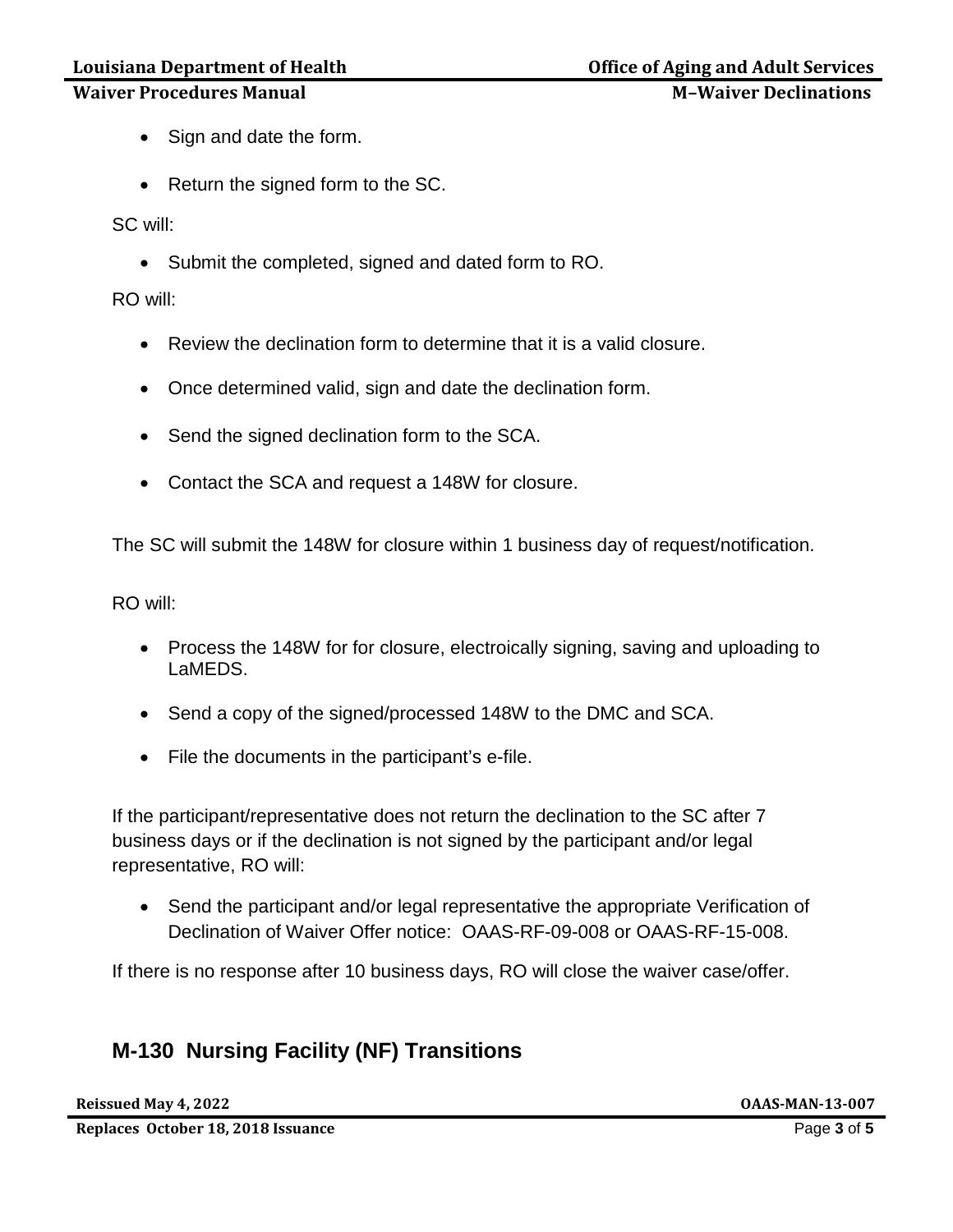# Louisiana Department of Health **Office of Aging and Adult Services**

## **Waiver Procedures Manual Metallician Contract Contract Metallician M-Waiver Declinations**

- Sign and date the form.
- Return the signed form to the SC.

SC will:

• Submit the completed, signed and dated form to RO.

RO will:

- Review the declination form to determine that it is a valid closure.
- Once determined valid, sign and date the declination form.
- Send the signed declination form to the SCA.
- Contact the SCA and request a 148W for closure.

The SC will submit the 148W for closure within 1 business day of request/notification.

RO will:

- Process the 148W for for closure, electroically signing, saving and uploading to LaMEDS.
- Send a copy of the signed/processed 148W to the DMC and SCA.
- File the documents in the participant's e-file.

If the participant/representative does not return the declination to the SC after 7 business days or if the declination is not signed by the participant and/or legal representative, RO will:

• Send the participant and/or legal representative the appropriate Verification of Declination of Waiver Offer notice: OAAS-RF-09-008 or OAAS-RF-15-008.

If there is no response after 10 business days, RO will close the waiver case/offer.

# **M-130 Nursing Facility (NF) Transitions**

**Reissued May 4, 2022 OAAS-MAN-13-007**

**Replaces October 18, 2018 Issuance Page 1 of 5 Page 1 of 5 Page 1 of 5 Page 1 of 5**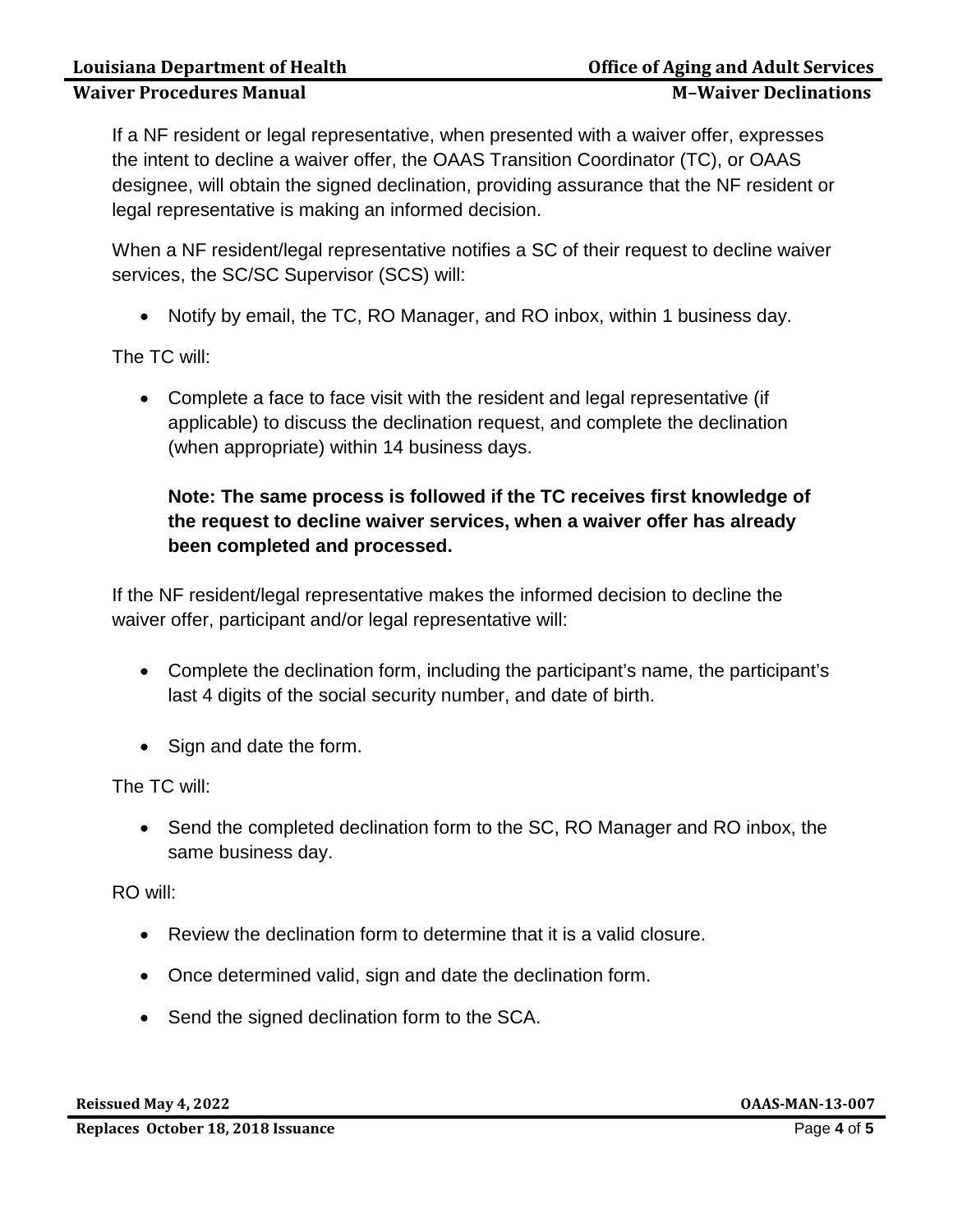## **Waiver Procedures Manual Metally School School M-Waiver Declinations**

If a NF resident or legal representative, when presented with a waiver offer, expresses the intent to decline a waiver offer, the OAAS Transition Coordinator (TC), or OAAS designee, will obtain the signed declination, providing assurance that the NF resident or legal representative is making an informed decision.

When a NF resident/legal representative notifies a SC of their request to decline waiver services, the SC/SC Supervisor (SCS) will:

• Notify by email, the TC, RO Manager, and RO inbox, within 1 business day.

The TC will:

• Complete a face to face visit with the resident and legal representative (if applicable) to discuss the declination request, and complete the declination (when appropriate) within 14 business days.

## **Note: The same process is followed if the TC receives first knowledge of the request to decline waiver services, when a waiver offer has already been completed and processed.**

If the NF resident/legal representative makes the informed decision to decline the waiver offer, participant and/or legal representative will:

- Complete the declination form, including the participant's name, the participant's last 4 digits of the social security number, and date of birth.
- Sign and date the form.

The TC will:

• Send the completed declination form to the SC, RO Manager and RO inbox, the same business day.

RO will:

- Review the declination form to determine that it is a valid closure.
- Once determined valid, sign and date the declination form.
- Send the signed declination form to the SCA.

**Reissued May 4, 2022 OAAS-MAN-13-007**